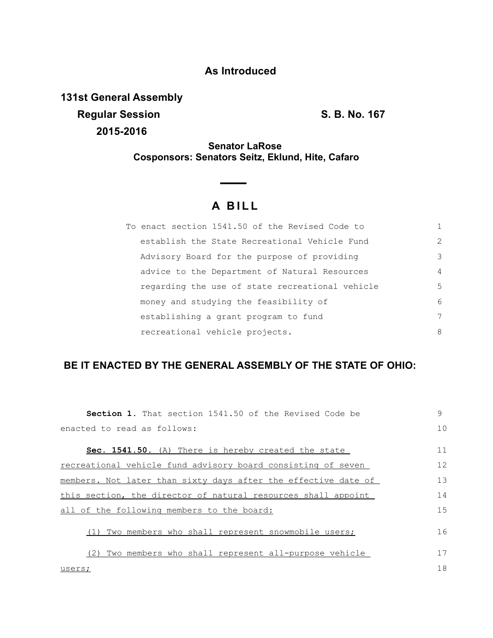## **As Introduced**

**131st General Assembly Regular Session S. B. No. 167 2015-2016**

**Senator LaRose Cosponsors: Senators Seitz, Eklund, Hite, Cafaro**

## **A B I L L**

| To enact section 1541.50 of the Revised Code to |                |
|-------------------------------------------------|----------------|
| establish the State Recreational Vehicle Fund   | $\mathcal{L}$  |
| Advisory Board for the purpose of providing     | 3              |
| advice to the Department of Natural Resources   | $\overline{4}$ |
| regarding the use of state recreational vehicle | 5              |
| money and studying the feasibility of           | 6              |
| establishing a grant program to fund            | 7              |
| recreational vehicle projects.                  | 8              |

## **BE IT ENACTED BY THE GENERAL ASSEMBLY OF THE STATE OF OHIO:**

| <b>Section 1.</b> That section 1541.50 of the Revised Code be  | 9  |
|----------------------------------------------------------------|----|
| enacted to read as follows:                                    | 10 |
|                                                                |    |
| <b>Sec. 1541.50.</b> (A) There is hereby created the state     | 11 |
| recreational vehicle fund advisory board consisting of seven   | 12 |
| members. Not later than sixty days after the effective date of | 13 |
| this section, the director of natural resources shall appoint  | 14 |
| all of the following members to the board:                     |    |
| Two members who shall represent snowmobile users;              | 16 |
| Two members who shall represent all-purpose vehicle            | 17 |
| users;                                                         | 18 |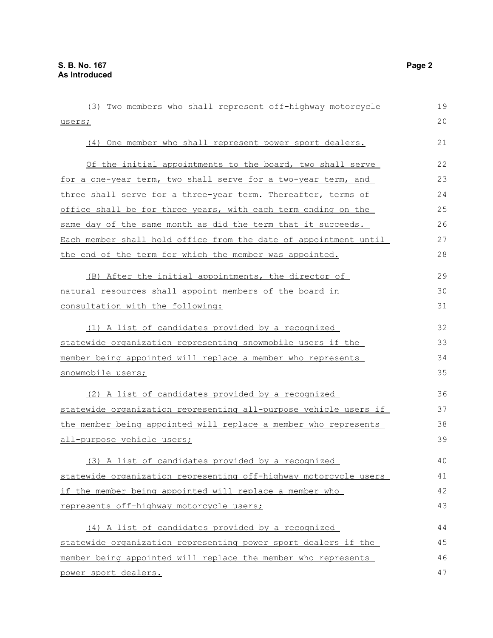| (3) Two members who shall represent off-highway motorcycle       | 19 |
|------------------------------------------------------------------|----|
| users;                                                           | 20 |
| (4) One member who shall represent power sport dealers.          | 21 |
| Of the initial appointments to the board, two shall serve        | 22 |
| for a one-year term, two shall serve for a two-year term, and    | 23 |
| three shall serve for a three-year term. Thereafter, terms of    | 24 |
| office shall be for three years, with each term ending on the    | 25 |
| same day of the same month as did the term that it succeeds.     | 26 |
| Each member shall hold office from the date of appointment until | 27 |
| the end of the term for which the member was appointed.          | 28 |
| (B) After the initial appointments, the director of              | 29 |
| natural resources shall appoint members of the board in          | 30 |
| <u>consultation with the following:</u>                          | 31 |
| (1) A list of candidates provided by a recognized                | 32 |
| statewide organization representing snowmobile users if the      | 33 |
| member being appointed will replace a member who represents      | 34 |
| snowmobile users;                                                | 35 |
| (2) A list of candidates provided by a recognized                | 36 |
| statewide organization representing all-purpose vehicle users if | 37 |
| the member being appointed will replace a member who represents  | 38 |
| <u>all-purpose vehicle users;</u>                                | 39 |
| (3) A list of candidates provided by a recognized                | 40 |
| statewide organization representing off-highway motorcycle users | 41 |
| if the member being appointed will replace a member who          | 42 |
| represents off-highway motorcycle users;                         | 43 |
| (4) A list of candidates provided by a recognized                | 44 |
| statewide organization representing power sport dealers if the   | 45 |
| member being appointed will replace the member who represents    | 46 |
| power sport dealers.                                             | 47 |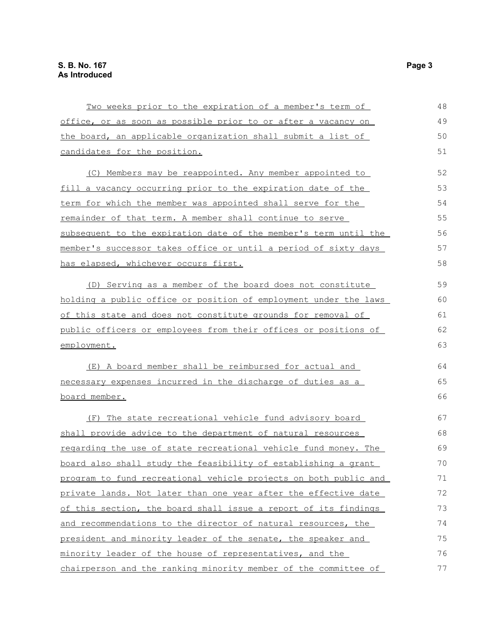| Two weeks prior to the expiration of a member's term of               | 48 |
|-----------------------------------------------------------------------|----|
| office, or as soon as possible prior to or after a vacancy on         | 49 |
| the board, an applicable organization shall submit a list of          | 50 |
| candidates for the position.                                          | 51 |
| (C) Members may be reappointed. Any member appointed to               | 52 |
| fill a vacancy occurring prior to the expiration date of the          | 53 |
| term for which the member was appointed shall serve for the           | 54 |
| remainder of that term. A member shall continue to serve              | 55 |
| subsequent to the expiration date of the member's term until the      | 56 |
| member's successor takes office or until a period of sixty days       | 57 |
| has elapsed, whichever occurs first.                                  | 58 |
| (D) Serving as a member of the board does not constitute              | 59 |
| holding a public office or position of employment under the laws      | 60 |
| of this state and does not constitute grounds for removal of          | 61 |
| public officers or employees from their offices or positions of       | 62 |
| employment.                                                           | 63 |
| (E) A board member shall be reimbursed for actual and                 | 64 |
| necessary expenses incurred in the discharge of duties as a           | 65 |
| board member.                                                         | 66 |
| (F) The state recreational vehicle fund advisory board                | 67 |
| shall provide advice to the department of natural resources           | 68 |
| regarding the use of state recreational vehicle fund money. The       | 69 |
| <u>board also shall study the feasibility of establishing a grant</u> | 70 |
| program to fund recreational vehicle projects on both public and      | 71 |
| private lands. Not later than one year after the effective date       | 72 |
| of this section, the board shall issue a report of its findings       | 73 |
| and recommendations to the director of natural resources, the         | 74 |
| president and minority leader of the senate, the speaker and          | 75 |
| minority leader of the house of representatives, and the              | 76 |
| chairperson and the ranking minority member of the committee of       | 77 |